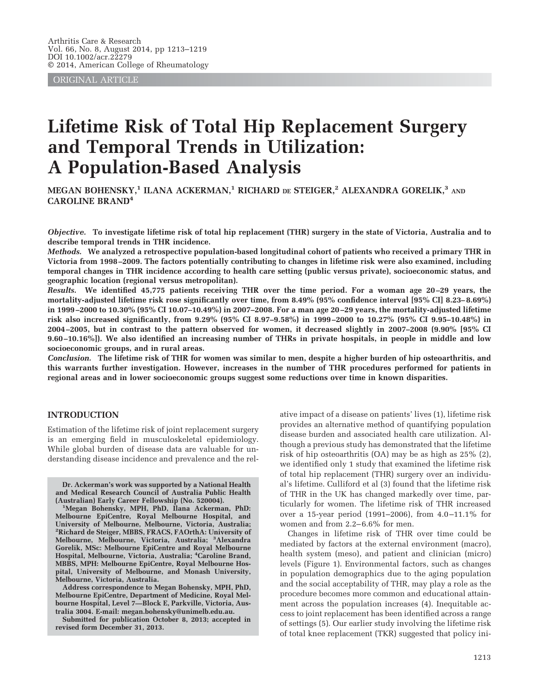ORIGINAL ARTICLE

# **Lifetime Risk of Total Hip Replacement Surgery and Temporal Trends in Utilization: A Population-Based Analysis**

**MEGAN BOHENSKY,1 ILANA ACKERMAN,1 RICHARD DE STEIGER,2 ALEXANDRA GORELIK,3 AND CAROLINE BRAND4**

*Objective.* **To investigate lifetime risk of total hip replacement (THR) surgery in the state of Victoria, Australia and to describe temporal trends in THR incidence.**

*Methods.* **We analyzed a retrospective population-based longitudinal cohort of patients who received a primary THR in Victoria from 1998 –2009. The factors potentially contributing to changes in lifetime risk were also examined, including temporal changes in THR incidence according to health care setting (public versus private), socioeconomic status, and geographic location (regional versus metropolitan).**

*Results.* **We identified 45,775 patients receiving THR over the time period. For a woman age 20 –29 years, the mortality-adjusted lifetime risk rose significantly over time, from 8.49% (95% confidence interval [95% CI] 8.23– 8.69%) in 1999 –2000 to 10.30% (95% CI 10.07–10.49%) in 2007–2008. For a man age 20 –29 years, the mortality-adjusted lifetime risk also increased significantly, from 9.29% (95% CI 8.97–9.58%) in 1999 –2000 to 10.27% (95% CI 9.95–10.48%) in 2004 –2005, but in contrast to the pattern observed for women, it decreased slightly in 2007–2008 (9.90% [95% CI 9.60 –10.16%]). We also identified an increasing number of THRs in private hospitals, in people in middle and low socioeconomic groups, and in rural areas.**

*Conclusion.* **The lifetime risk of THR for women was similar to men, despite a higher burden of hip osteoarthritis, and this warrants further investigation. However, increases in the number of THR procedures performed for patients in regional areas and in lower socioeconomic groups suggest some reductions over time in known disparities.**

# **INTRODUCTION**

Estimation of the lifetime risk of joint replacement surgery is an emerging field in musculoskeletal epidemiology. While global burden of disease data are valuable for understanding disease incidence and prevalence and the rel-

**Dr. Ackerman's work was supported by a National Health and Medical Research Council of Australia Public Health (Australian) Early Career Fellowship (No. 520004). <sup>1</sup>**

**Address correspondence to Megan Bohensky, MPH, PhD, Melbourne EpiCentre, Department of Medicine, Royal Melbourne Hospital, Level 7—Block E, Parkville, Victoria, Australia 3004. E-mail: megan.bohensky@unimelb.edu.au.**

**Submitted for publication October 8, 2013; accepted in revised form December 31, 2013.**

ative impact of a disease on patients' lives (1), lifetime risk provides an alternative method of quantifying population disease burden and associated health care utilization. Although a previous study has demonstrated that the lifetime risk of hip osteoarthritis (OA) may be as high as 25% (2), we identified only 1 study that examined the lifetime risk of total hip replacement (THR) surgery over an individual's lifetime. Culliford et al (3) found that the lifetime risk of THR in the UK has changed markedly over time, particularly for women. The lifetime risk of THR increased over a 15-year period (1991–2006), from 4.0 –11.1% for women and from 2.2–6.6% for men.

Changes in lifetime risk of THR over time could be mediated by factors at the external environment (macro), health system (meso), and patient and clinician (micro) levels (Figure 1). Environmental factors, such as changes in population demographics due to the aging population and the social acceptability of THR, may play a role as the procedure becomes more common and educational attainment across the population increases (4). Inequitable access to joint replacement has been identified across a range of settings (5). Our earlier study involving the lifetime risk of total knee replacement (TKR) suggested that policy ini-

**Megan Bohensky, MPH, PhD, Ilana Ackerman, PhD: Melbourne EpiCentre, Royal Melbourne Hospital, and University of Melbourne, Melbourne, Victoria, Australia; 2 Richard de Steiger, MBBS, FRACS, FAOrthA: University of Melbourne, Melbourne, Victoria, Australia; <sup>3</sup> Alexandra Gorelik, MSc: Melbourne EpiCentre and Royal Melbourne Hospital, Melbourne, Victoria, Australia; <sup>4</sup> Caroline Brand, MBBS, MPH: Melbourne EpiCentre, Royal Melbourne Hospital, University of Melbourne, and Monash University, Melbourne, Victoria, Australia.**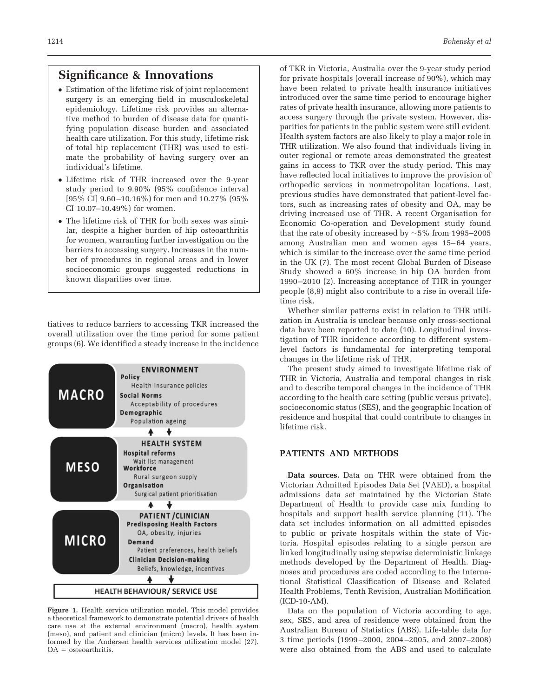# **Significance & Innovations**

- Estimation of the lifetime risk of joint replacement surgery is an emerging field in musculoskeletal epidemiology. Lifetime risk provides an alternative method to burden of disease data for quantifying population disease burden and associated health care utilization. For this study, lifetime risk of total hip replacement (THR) was used to estimate the probability of having surgery over an individual's lifetime.
- Lifetime risk of THR increased over the 9-year study period to 9.90% (95% confidence interval [95% CI] 9.60 –10.16%) for men and 10.27% (95% CI 10.07–10.49%) for women.
- The lifetime risk of THR for both sexes was similar, despite a higher burden of hip osteoarthritis for women, warranting further investigation on the barriers to accessing surgery. Increases in the number of procedures in regional areas and in lower socioeconomic groups suggested reductions in known disparities over time.

tiatives to reduce barriers to accessing TKR increased the overall utilization over the time period for some patient groups (6). We identified a steady increase in the incidence



**Figure 1.** Health service utilization model. This model provides a theoretical framework to demonstrate potential drivers of health care use at the external environment (macro), health system (meso), and patient and clinician (micro) levels. It has been informed by the Andersen health services utilization model (27).  $OA =$  osteoarthritis.

of TKR in Victoria, Australia over the 9-year study period for private hospitals (overall increase of 90%), which may have been related to private health insurance initiatives introduced over the same time period to encourage higher rates of private health insurance, allowing more patients to access surgery through the private system. However, disparities for patients in the public system were still evident. Health system factors are also likely to play a major role in THR utilization. We also found that individuals living in outer regional or remote areas demonstrated the greatest gains in access to TKR over the study period. This may have reflected local initiatives to improve the provision of orthopedic services in nonmetropolitan locations. Last, previous studies have demonstrated that patient-level factors, such as increasing rates of obesity and OA, may be driving increased use of THR. A recent Organisation for Economic Co-operation and Development study found that the rate of obesity increased by  $\sim$  5% from 1995–2005 among Australian men and women ages 15-64 years, which is similar to the increase over the same time period in the UK (7). The most recent Global Burden of Disease Study showed a 60% increase in hip OA burden from 1990 –2010 (2). Increasing acceptance of THR in younger people (8,9) might also contribute to a rise in overall lifetime risk.

Whether similar patterns exist in relation to THR utilization in Australia is unclear because only cross-sectional data have been reported to date (10). Longitudinal investigation of THR incidence according to different systemlevel factors is fundamental for interpreting temporal changes in the lifetime risk of THR.

The present study aimed to investigate lifetime risk of THR in Victoria, Australia and temporal changes in risk and to describe temporal changes in the incidence of THR according to the health care setting (public versus private), socioeconomic status (SES), and the geographic location of residence and hospital that could contribute to changes in lifetime risk.

# **PATIENTS AND METHODS**

**Data sources.** Data on THR were obtained from the Victorian Admitted Episodes Data Set (VAED), a hospital admissions data set maintained by the Victorian State Department of Health to provide case mix funding to hospitals and support health service planning (11). The data set includes information on all admitted episodes to public or private hospitals within the state of Victoria. Hospital episodes relating to a single person are linked longitudinally using stepwise deterministic linkage methods developed by the Department of Health. Diagnoses and procedures are coded according to the International Statistical Classification of Disease and Related Health Problems, Tenth Revision, Australian Modification (ICD-10-AM).

Data on the population of Victoria according to age, sex, SES, and area of residence were obtained from the Australian Bureau of Statistics (ABS). Life-table data for 3 time periods (1999 –2000, 2004 –2005, and 2007–2008) were also obtained from the ABS and used to calculate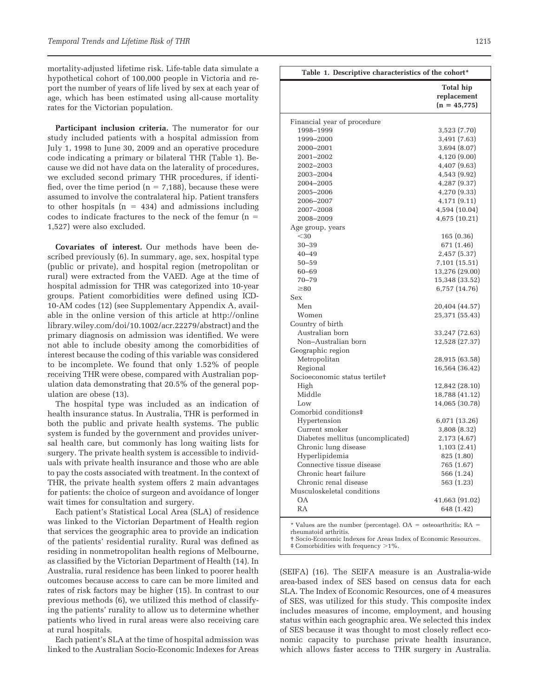mortality-adjusted lifetime risk. Life-table data simulate a hypothetical cohort of 100,000 people in Victoria and report the number of years of life lived by sex at each year of age, which has been estimated using all-cause mortality rates for the Victorian population.

**Participant inclusion criteria.** The numerator for our study included patients with a hospital admission from July 1, 1998 to June 30, 2009 and an operative procedure code indicating a primary or bilateral THR (Table 1). Because we did not have data on the laterality of procedures, we excluded second primary THR procedures, if identified, over the time period (n = 7,188), because these were assumed to involve the contralateral hip. Patient transfers to other hospitals  $(n = 434)$  and admissions including codes to indicate fractures to the neck of the femur ( $n =$ 1,527) were also excluded.

**Covariates of interest.** Our methods have been described previously (6). In summary, age, sex, hospital type (public or private), and hospital region (metropolitan or rural) were extracted from the VAED. Age at the time of hospital admission for THR was categorized into 10-year groups. Patient comorbidities were defined using ICD-10-AM codes (12) (see Supplementary Appendix A, available in the online version of this article at http://online library.wiley.com/doi/10.1002/acr.22279/abstract) and the primary diagnosis on admission was identified. We were not able to include obesity among the comorbidities of interest because the coding of this variable was considered to be incomplete. We found that only 1.52% of people receiving THR were obese, compared with Australian population data demonstrating that 20.5% of the general population are obese (13).

The hospital type was included as an indication of health insurance status. In Australia, THR is performed in both the public and private health systems. The public system is funded by the government and provides universal health care, but commonly has long waiting lists for surgery. The private health system is accessible to individuals with private health insurance and those who are able to pay the costs associated with treatment. In the context of THR, the private health system offers 2 main advantages for patients: the choice of surgeon and avoidance of longer wait times for consultation and surgery.

Each patient's Statistical Local Area (SLA) of residence was linked to the Victorian Department of Health region that services the geographic area to provide an indication of the patients' residential rurality. Rural was defined as residing in nonmetropolitan health regions of Melbourne, as classified by the Victorian Department of Health (14). In Australia, rural residence has been linked to poorer health outcomes because access to care can be more limited and rates of risk factors may be higher (15). In contrast to our previous methods (6), we utilized this method of classifying the patients' rurality to allow us to determine whether patients who lived in rural areas were also receiving care at rural hospitals.

Each patient's SLA at the time of hospital admission was linked to the Australian Socio-Economic Indexes for Areas

| Table 1. Descriptive characteristics of the cohort*                                          |                                                   |  |  |  |  |  |  |  |  |
|----------------------------------------------------------------------------------------------|---------------------------------------------------|--|--|--|--|--|--|--|--|
|                                                                                              | <b>Total hip</b><br>replacement<br>$(n = 45,775)$ |  |  |  |  |  |  |  |  |
| Financial year of procedure                                                                  |                                                   |  |  |  |  |  |  |  |  |
| 1998-1999                                                                                    | 3,523 (7.70)                                      |  |  |  |  |  |  |  |  |
| 1999-2000                                                                                    | 3,491 (7.63)                                      |  |  |  |  |  |  |  |  |
| 2000-2001                                                                                    | 3,694 (8.07)                                      |  |  |  |  |  |  |  |  |
| 2001-2002                                                                                    | 4,120 (9.00)                                      |  |  |  |  |  |  |  |  |
| 2002-2003                                                                                    | 4,407 (9.63)                                      |  |  |  |  |  |  |  |  |
| 2003-2004                                                                                    | 4,543 (9.92)                                      |  |  |  |  |  |  |  |  |
| 2004-2005                                                                                    | 4,287 (9.37)                                      |  |  |  |  |  |  |  |  |
| 2005-2006                                                                                    | 4,270 (9.33)                                      |  |  |  |  |  |  |  |  |
| 2006-2007                                                                                    | 4,171 (9.11)                                      |  |  |  |  |  |  |  |  |
| 2007-2008                                                                                    | 4,594 (10.04)                                     |  |  |  |  |  |  |  |  |
| 2008–2009                                                                                    | 4,675 (10.21)                                     |  |  |  |  |  |  |  |  |
| Age group, years                                                                             |                                                   |  |  |  |  |  |  |  |  |
| $30$                                                                                         | 165 (0.36)                                        |  |  |  |  |  |  |  |  |
| 30–39                                                                                        | 671 (1.46)                                        |  |  |  |  |  |  |  |  |
| $40 - 49$                                                                                    | 2,457 (5.37)                                      |  |  |  |  |  |  |  |  |
| $50 - 59$                                                                                    | 7,101 (15.51)                                     |  |  |  |  |  |  |  |  |
| 60-69                                                                                        | 13,276 (29.00)                                    |  |  |  |  |  |  |  |  |
| 70-79                                                                                        | 15,348 (33.52)                                    |  |  |  |  |  |  |  |  |
| $\geq 80$                                                                                    | 6,757 (14.76)                                     |  |  |  |  |  |  |  |  |
| Sex                                                                                          |                                                   |  |  |  |  |  |  |  |  |
| Men                                                                                          | 20,404 (44.57)                                    |  |  |  |  |  |  |  |  |
| Women                                                                                        | 25,371 (55.43)                                    |  |  |  |  |  |  |  |  |
| Country of birth                                                                             |                                                   |  |  |  |  |  |  |  |  |
| Australian born                                                                              | 33,247 (72.63)                                    |  |  |  |  |  |  |  |  |
| Non-Australian born                                                                          | 12,528 (27.37)                                    |  |  |  |  |  |  |  |  |
| Geographic region                                                                            |                                                   |  |  |  |  |  |  |  |  |
| Metropolitan                                                                                 | 28,915 (63.58)                                    |  |  |  |  |  |  |  |  |
| Regional                                                                                     | 16,564 (36.42)                                    |  |  |  |  |  |  |  |  |
| Socioeconomic status tertilet                                                                |                                                   |  |  |  |  |  |  |  |  |
| High                                                                                         | 12,842 (28.10)                                    |  |  |  |  |  |  |  |  |
| Middle                                                                                       | 18,788 (41.12)                                    |  |  |  |  |  |  |  |  |
| Low                                                                                          | 14,065 (30.78)                                    |  |  |  |  |  |  |  |  |
| Comorbid conditions‡                                                                         |                                                   |  |  |  |  |  |  |  |  |
| Hypertension                                                                                 | 6,071 (13.26)                                     |  |  |  |  |  |  |  |  |
| Current smoker                                                                               | 3,808 (8.32)                                      |  |  |  |  |  |  |  |  |
| Diabetes mellitus (uncomplicated)                                                            | 2,173 (4.67)                                      |  |  |  |  |  |  |  |  |
| Chronic lung disease                                                                         | 1,103(2.41)                                       |  |  |  |  |  |  |  |  |
| Hyperlipidemia                                                                               | 825 (1.80)                                        |  |  |  |  |  |  |  |  |
| Connective tissue disease<br>Chronic heart failure                                           | 765 (1.67)                                        |  |  |  |  |  |  |  |  |
| Chronic renal disease                                                                        | 566 (1.24)                                        |  |  |  |  |  |  |  |  |
| Musculoskeletal conditions                                                                   | 563 (1.23)                                        |  |  |  |  |  |  |  |  |
|                                                                                              |                                                   |  |  |  |  |  |  |  |  |
| OΑ<br>RA                                                                                     | 41,663 (91.02)<br>648 (1.42)                      |  |  |  |  |  |  |  |  |
|                                                                                              |                                                   |  |  |  |  |  |  |  |  |
| * Values are the number (percentage). $OA =$ osteoarthritis; $RA =$<br>rheumatoid arthritis. |                                                   |  |  |  |  |  |  |  |  |

† Socio-Economic Indexes for Areas Index of Economic Resources.

‡ Comorbidities with frequency 1%.

(SEIFA) (16). The SEIFA measure is an Australia-wide area-based index of SES based on census data for each SLA. The Index of Economic Resources, one of 4 measures of SES, was utilized for this study. This composite index includes measures of income, employment, and housing status within each geographic area. We selected this index of SES because it was thought to most closely reflect economic capacity to purchase private health insurance, which allows faster access to THR surgery in Australia.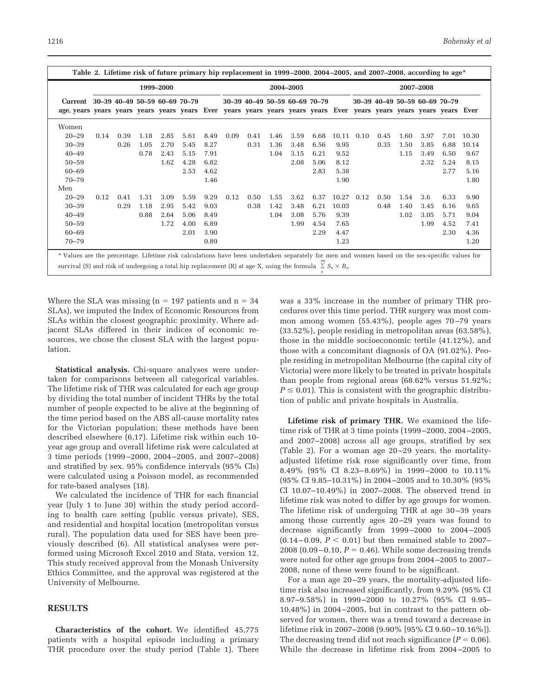| Table 2. Lifetime risk of future primary hip replacement in 1999-2000, 2004-2005, and 2007-2008, according to age*                                                                                                                                                      |           |              |                               |                              |                                      |                                              |      |              |                      |                               |                                      |                                                |      |              |                                                                     |                              |                                      |                                                |  |
|-------------------------------------------------------------------------------------------------------------------------------------------------------------------------------------------------------------------------------------------------------------------------|-----------|--------------|-------------------------------|------------------------------|--------------------------------------|----------------------------------------------|------|--------------|----------------------|-------------------------------|--------------------------------------|------------------------------------------------|------|--------------|---------------------------------------------------------------------|------------------------------|--------------------------------------|------------------------------------------------|--|
|                                                                                                                                                                                                                                                                         | 1999-2000 |              |                               |                              |                                      |                                              |      | 2004-2005    |                      |                               |                                      |                                                |      | 2007-2008    |                                                                     |                              |                                      |                                                |  |
| <b>Current</b><br>age, years years years years years years Ever                                                                                                                                                                                                         |           |              | 30-39 40-49 50-59 60-69 70-79 |                              |                                      |                                              |      |              |                      | 30-39 40-49 50-59 60-69 70-79 | years years years years years Ever   |                                                |      |              | 30-39 40-49 50-59 60-69 70-79<br>years years years years years Ever |                              |                                      |                                                |  |
| Women<br>$20 - 29$<br>$30 - 39$<br>$40 - 49$<br>$50 - 59$<br>60-69<br>$70 - 79$                                                                                                                                                                                         | 0.14      | 0.39<br>0.26 | 1.18<br>1.05<br>0.78          | 2.85<br>2.70<br>2.43<br>1.62 | 5.61<br>5.45<br>5.15<br>4.28<br>2.53 | 8.49<br>8.27<br>7.91<br>6.82<br>4.62<br>1.46 | 0.09 | 0.41<br>0.31 | 1.46<br>1.36<br>1.04 | 3.59<br>3.48<br>3.15<br>2.08  | 6.68<br>6.56<br>6.21<br>5.06<br>2.83 | 10.11<br>9.95<br>9.52<br>8.12<br>5.38<br>1.90  | 0.10 | 0.45<br>0.35 | 1.60<br>1.50<br>1.15                                                | 3.97<br>3.85<br>3.49<br>2.32 | 7.01<br>6.88<br>6.50<br>5.24<br>2.77 | 10.30<br>10.14<br>9.67<br>8.15<br>5.16<br>1.80 |  |
| Men<br>$20 - 29$<br>$30 - 39$<br>$40 - 49$<br>$50 - 59$<br>60-69<br>$70 - 79$                                                                                                                                                                                           | 0.12      | 0.41<br>0.29 | 1.31<br>1.18<br>0.88          | 3.09<br>2.95<br>2.64<br>1.72 | 5.59<br>5.42<br>5.06<br>4.00<br>2.01 | 9.29<br>9.03<br>8.49<br>6.89<br>3.90<br>0.89 | 0.12 | 0.50<br>0.38 | 1.55<br>1.42<br>1.04 | 3.62<br>3.48<br>3.08<br>1.99  | 6.37<br>6.21<br>5.76<br>4.54<br>2.29 | 10.27<br>10.03<br>9.39<br>7.65<br>4.47<br>1.23 | 0.12 | 0.50<br>0.48 | 1.54<br>1.40<br>1.02                                                | 3.6<br>3.45<br>3.05<br>1.99  | 6.33<br>6.16<br>5.71<br>4.52<br>2.30 | 9.90<br>9.65<br>9.04<br>7.41<br>4.36<br>1.20   |  |
| * Values are the percentage. Lifetime risk calculations have been undertaken separately for men and women based on the sex-specific values for<br>survival (S) and risk of undergoing a total hip replacement (R) at age X, using the formula $\Sigma S_x \times R_x$ . |           |              |                               |                              |                                      |                                              |      |              |                      |                               |                                      |                                                |      |              |                                                                     |                              |                                      |                                                |  |

survival (S) and risk of undergoing a total hip replacement (R) at age X, using the formula  $\int_{x}^{\infty}$ 

Where the SLA was missing ( $n = 197$  patients and  $n = 34$ SLAs), we imputed the Index of Economic Resources from SLAs within the closest geographic proximity. Where adjacent SLAs differed in their indices of economic resources, we chose the closest SLA with the largest population.

**Statistical analysis.** Chi-square analyses were undertaken for comparisons between all categorical variables. The lifetime risk of THR was calculated for each age group by dividing the total number of incident THRs by the total number of people expected to be alive at the beginning of the time period based on the ABS all-cause mortality rates for the Victorian population; these methods have been described elsewhere (6,17). Lifetime risk within each 10 year age group and overall lifetime risk were calculated at 3 time periods (1999 –2000, 2004 –2005, and 2007–2008) and stratified by sex. 95% confidence intervals (95% CIs) were calculated using a Poisson model, as recommended for rate-based analyses (18).

We calculated the incidence of THR for each financial year (July 1 to June 30) within the study period according to health care setting (public versus private), SES, and residential and hospital location (metropolitan versus rural). The population data used for SES have been previously described (6). All statistical analyses were performed using Microsoft Excel 2010 and Stata, version 12. This study received approval from the Monash University Ethics Committee, and the approval was registered at the University of Melbourne.

#### **RESULTS**

**Characteristics of the cohort.** We identified 45,775 patients with a hospital episode including a primary THR procedure over the study period (Table 1). There

was a 33% increase in the number of primary THR procedures over this time period. THR surgery was most common among women (55.43%), people ages 70-79 years (33.52%), people residing in metropolitan areas (63.58%), those in the middle socioeconomic tertile (41.12%), and those with a concomitant diagnosis of OA (91.02%). People residing in metropolitan Melbourne (the capital city of Victoria) were more likely to be treated in private hospitals than people from regional areas (68.62% versus 51.92%;  $P \leq 0.01$ ). This is consistent with the geographic distribution of public and private hospitals in Australia.

**Lifetime risk of primary THR.** We examined the lifetime risk of THR at 3 time points (1999 –2000, 2004 –2005, and 2007–2008) across all age groups, stratified by sex (Table 2). For a woman age 20 –29 years, the mortalityadjusted lifetime risk rose significantly over time, from 8.49% (95% CI 8.23– 8.69%) in 1999 –2000 to 10.11% (95% CI 9.85–10.31%) in 2004 –2005 and to 10.30% (95% CI 10.07–10.49%) in 2007–2008. The observed trend in lifetime risk was noted to differ by age groups for women. The lifetime risk of undergoing THR at age 30 –39 years among those currently ages 20 –29 years was found to decrease significantly from 1999 –2000 to 2004 –2005  $(0.14 - 0.09, P < 0.01)$  but then remained stable to 2007– 2008 (0.09 $-0.10, P = 0.46$ ). While some decreasing trends were noted for other age groups from 2004 –2005 to 2007– 2008, none of these were found to be significant.

For a man age 20 –29 years, the mortality-adjusted lifetime risk also increased significantly, from 9.29% (95% CI 8.97–9.58%) in 1999 –2000 to 10.27% (95% CI 9.95– 10.48%) in 2004 –2005, but in contrast to the pattern observed for women, there was a trend toward a decrease in lifetime risk in 2007–2008 (9.90% [95% CI 9.60 –10.16%]). The decreasing trend did not reach significance ( $P = 0.06$ ). While the decrease in lifetime risk from 2004 –2005 to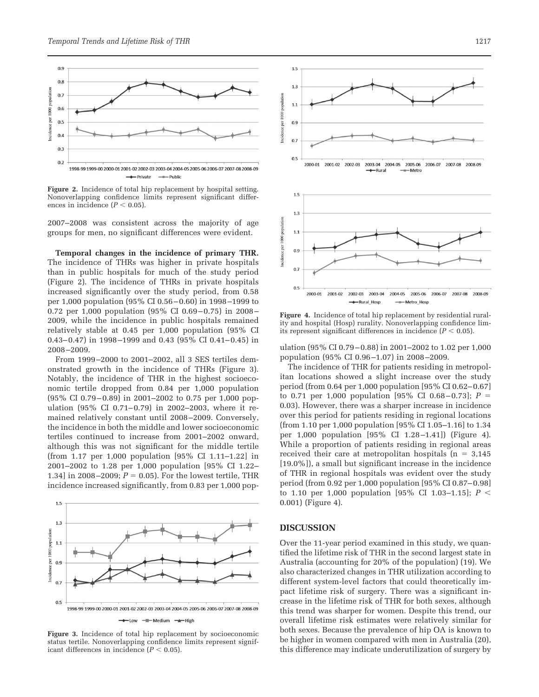

**Figure 2.** Incidence of total hip replacement by hospital setting. Nonoverlapping confidence limits represent significant differences in incidence  $(P < 0.05)$ .

2007–2008 was consistent across the majority of age groups for men, no significant differences were evident.

**Temporal changes in the incidence of primary THR.** The incidence of THRs was higher in private hospitals than in public hospitals for much of the study period (Figure 2). The incidence of THRs in private hospitals increased significantly over the study period, from 0.58 per 1,000 population (95% CI 0.56 – 0.60) in 1998 –1999 to 0.72 per 1,000 population  $(95\% \text{ CI } 0.69-0.75)$  in 2008-2009, while the incidence in public hospitals remained relatively stable at 0.45 per 1,000 population (95% CI 0.43–0.47) in 1998–1999 and 0.43 (95% CI 0.41–0.45) in 2008 –2009.

From 1999 –2000 to 2001–2002, all 3 SES tertiles demonstrated growth in the incidence of THRs (Figure 3). Notably, the incidence of THR in the highest socioeconomic tertile dropped from 0.84 per 1,000 population (95% CI 0.79 – 0.89) in 2001–2002 to 0.75 per 1,000 population (95% CI 0.71-0.79) in 2002-2003, where it remained relatively constant until 2008 –2009. Conversely, the incidence in both the middle and lower socioeconomic tertiles continued to increase from 2001–2002 onward, although this was not significant for the middle tertile (from 1.17 per 1,000 population [95% CI 1.11–1.22] in 2001–2002 to 1.28 per 1,000 population [95% CI 1.22– 1.34] in 2008–2009;  $P = 0.05$ . For the lowest tertile, THR incidence increased significantly, from 0.83 per 1,000 pop-



**Figure 3.** Incidence of total hip replacement by socioeconomic status tertile. Nonoverlapping confidence limits represent significant differences in incidence  $(P < 0.05)$ .



**Figure 4.** Incidence of total hip replacement by residential rurality and hospital (Hosp) rurality. Nonoverlapping confidence limits represent significant differences in incidence  $(P < 0.05)$ .

ulation (95% CI 0.79 – 0.88) in 2001–2002 to 1.02 per 1,000 population (95% CI 0.96 –1.07) in 2008 –2009.

The incidence of THR for patients residing in metropolitan locations showed a slight increase over the study period (from 0.64 per 1,000 population [95% CI 0.62– 0.67] to 0.71 per 1,000 population [95% CI 0.68-0.73];  $P =$ 0.03). However, there was a sharper increase in incidence over this period for patients residing in regional locations (from 1.10 per 1,000 population [95% CI 1.05–1.16] to 1.34 per 1,000 population [95% CI 1.28-1.41]) (Figure 4). While a proportion of patients residing in regional areas received their care at metropolitan hospitals ( $n = 3,145$ [19.0%]), a small but significant increase in the incidence of THR in regional hospitals was evident over the study period (from 0.92 per 1,000 population [95% CI 0.87– 0.98] to 1.10 per 1,000 population [95% CI 1.03–1.15]; *P* 0.001) (Figure 4).

# **DISCUSSION**

Over the 11-year period examined in this study, we quantified the lifetime risk of THR in the second largest state in Australia (accounting for 20% of the population) (19). We also characterized changes in THR utilization according to different system-level factors that could theoretically impact lifetime risk of surgery. There was a significant increase in the lifetime risk of THR for both sexes, although this trend was sharper for women. Despite this trend, our overall lifetime risk estimates were relatively similar for both sexes. Because the prevalence of hip OA is known to be higher in women compared with men in Australia (20), this difference may indicate underutilization of surgery by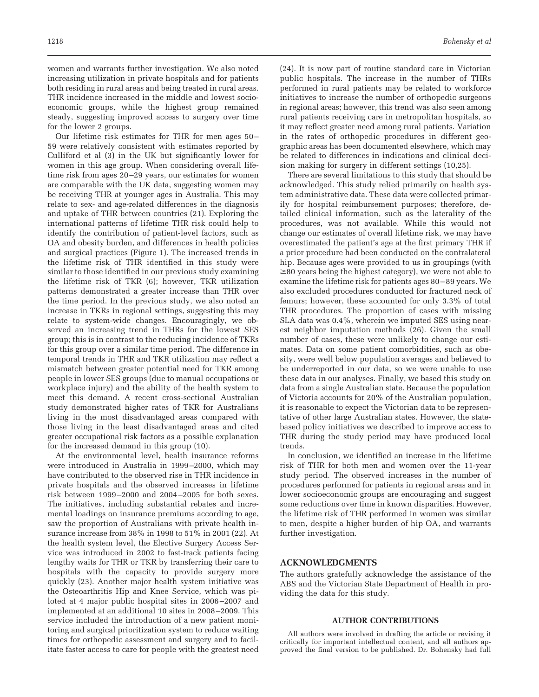women and warrants further investigation. We also noted increasing utilization in private hospitals and for patients both residing in rural areas and being treated in rural areas. THR incidence increased in the middle and lowest socioeconomic groups, while the highest group remained steady, suggesting improved access to surgery over time for the lower 2 groups.

Our lifetime risk estimates for THR for men ages 50 – 59 were relatively consistent with estimates reported by Culliford et al (3) in the UK but significantly lower for women in this age group. When considering overall lifetime risk from ages 20–29 years, our estimates for women are comparable with the UK data, suggesting women may be receiving THR at younger ages in Australia. This may relate to sex- and age-related differences in the diagnosis and uptake of THR between countries (21). Exploring the international patterns of lifetime THR risk could help to identify the contribution of patient-level factors, such as OA and obesity burden, and differences in health policies and surgical practices (Figure 1). The increased trends in the lifetime risk of THR identified in this study were similar to those identified in our previous study examining the lifetime risk of TKR (6); however, TKR utilization patterns demonstrated a greater increase than THR over the time period. In the previous study, we also noted an increase in TKRs in regional settings, suggesting this may relate to system-wide changes. Encouragingly, we observed an increasing trend in THRs for the lowest SES group; this is in contrast to the reducing incidence of TKRs for this group over a similar time period. The difference in temporal trends in THR and TKR utilization may reflect a mismatch between greater potential need for TKR among people in lower SES groups (due to manual occupations or workplace injury) and the ability of the health system to meet this demand. A recent cross-sectional Australian study demonstrated higher rates of TKR for Australians living in the most disadvantaged areas compared with those living in the least disadvantaged areas and cited greater occupational risk factors as a possible explanation for the increased demand in this group (10).

At the environmental level, health insurance reforms were introduced in Australia in 1999 –2000, which may have contributed to the observed rise in THR incidence in private hospitals and the observed increases in lifetime risk between 1999 –2000 and 2004 –2005 for both sexes. The initiatives, including substantial rebates and incremental loadings on insurance premiums according to age, saw the proportion of Australians with private health insurance increase from 38% in 1998 to 51% in 2001 (22). At the health system level, the Elective Surgery Access Service was introduced in 2002 to fast-track patients facing lengthy waits for THR or TKR by transferring their care to hospitals with the capacity to provide surgery more quickly (23). Another major health system initiative was the Osteoarthritis Hip and Knee Service, which was piloted at 4 major public hospital sites in 2006 –2007 and implemented at an additional 10 sites in 2008 –2009. This service included the introduction of a new patient monitoring and surgical prioritization system to reduce waiting times for orthopedic assessment and surgery and to facilitate faster access to care for people with the greatest need

(24). It is now part of routine standard care in Victorian public hospitals. The increase in the number of THRs performed in rural patients may be related to workforce initiatives to increase the number of orthopedic surgeons in regional areas; however, this trend was also seen among rural patients receiving care in metropolitan hospitals, so it may reflect greater need among rural patients. Variation in the rates of orthopedic procedures in different geographic areas has been documented elsewhere, which may be related to differences in indications and clinical decision making for surgery in different settings (10,25).

There are several limitations to this study that should be acknowledged. This study relied primarily on health system administrative data. These data were collected primarily for hospital reimbursement purposes; therefore, detailed clinical information, such as the laterality of the procedures, was not available. While this would not change our estimates of overall lifetime risk, we may have overestimated the patient's age at the first primary THR if a prior procedure had been conducted on the contralateral hip. Because ages were provided to us in groupings (with  $\geq$ 80 years being the highest category), we were not able to examine the lifetime risk for patients ages 80 – 89 years. We also excluded procedures conducted for fractured neck of femurs; however, these accounted for only 3.3% of total THR procedures. The proportion of cases with missing SLA data was 0.4%, wherein we imputed SES using nearest neighbor imputation methods (26). Given the small number of cases, these were unlikely to change our estimates. Data on some patient comorbidities, such as obesity, were well below population averages and believed to be underreported in our data, so we were unable to use these data in our analyses. Finally, we based this study on data from a single Australian state. Because the population of Victoria accounts for 20% of the Australian population, it is reasonable to expect the Victorian data to be representative of other large Australian states. However, the statebased policy initiatives we described to improve access to THR during the study period may have produced local trends.

In conclusion, we identified an increase in the lifetime risk of THR for both men and women over the 11-year study period. The observed increases in the number of procedures performed for patients in regional areas and in lower socioeconomic groups are encouraging and suggest some reductions over time in known disparities. However, the lifetime risk of THR performed in women was similar to men, despite a higher burden of hip OA, and warrants further investigation.

#### **ACKNOWLEDGMENTS**

The authors gratefully acknowledge the assistance of the ABS and the Victorian State Department of Health in providing the data for this study.

#### **AUTHOR CONTRIBUTIONS**

All authors were involved in drafting the article or revising it critically for important intellectual content, and all authors approved the final version to be published. Dr. Bohensky had full